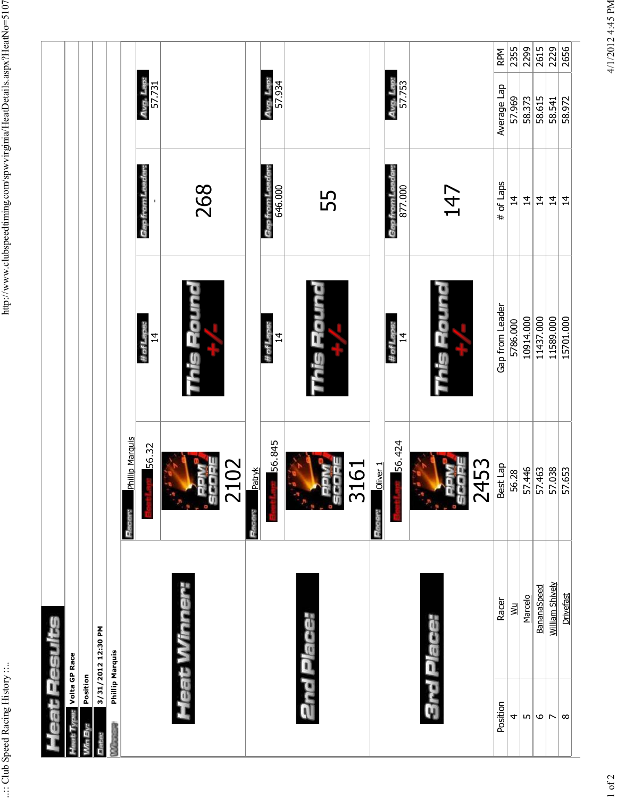|            |                               |          |                    |                                          |                         | Avg. Lap:<br>57.731          |                    |                    | Avg. Lap:<br>57.934                |                |                     | Avg. Lap:<br>57.753          |                        | RPM<br>Average Lap | 2355<br>57.969 | 2299<br>58.373 | 2615<br>58.615                                    | $\overline{229}$<br>58.541 | 2656<br>58.972   |
|------------|-------------------------------|----------|--------------------|------------------------------------------|-------------------------|------------------------------|--------------------|--------------------|------------------------------------|----------------|---------------------|------------------------------|------------------------|--------------------|----------------|----------------|---------------------------------------------------|----------------------------|------------------|
|            |                               |          |                    |                                          |                         | Gap from Leader.             | 268                |                    | <b>Gap from Leader:</b><br>646.000 | 55             |                     | 877.000<br>Gap from Le       | 147                    | # of Laps          | $\overline{4}$ | $\overline{4}$ | $\overline{4}$                                    | $\overline{4}$             | $\overline{4}$   |
|            |                               |          |                    |                                          |                         | # of Laps:<br>$\overline{4}$ | This Round         |                    | # of Laps:<br>$\overline{4}$       | This Roun      |                     | # of Laps:<br>$\overline{4}$ | This Round             | Gap from Leader    | 5786.000       | 10914.000      | 11437.000                                         | 11589.000                  | 15701.000        |
|            |                               |          |                    |                                          | Phillip Marquis<br>Race | 56.32                        | 102<br>Ä<br>8<br>ğ | <b>Patryk</b><br>E | 56.845                             | 3161<br>Ā<br>ğ | Oliver <sub>1</sub> | 56.424                       | 2453<br><b>Fo</b><br>Ā | Best Lap           | 56.28          |                | $\frac{57.446}{57.653}$<br>$\frac{57.63}{57.653}$ |                            |                  |
|            |                               |          | 3/31/2012 12:30 PM |                                          |                         |                              | Heat Winner:       |                    |                                    | 2nd Place:     |                     |                              | 3rd Place:             | Racer              | уW             | Marcelo        | BananaSpeed                                       | William Shively            | <b>Drivefast</b> |
| eausea aes | <b>Calivae:</b> Volta GP Race | Position |                    | <b>Phillip Marquis</b><br><b>Remains</b> |                         |                              |                    |                    |                                    |                |                     |                              |                        | Position           | 4              | $\overline{5}$ | $\mathbf \omega$                                  | ∣⊳                         | $\infty$         |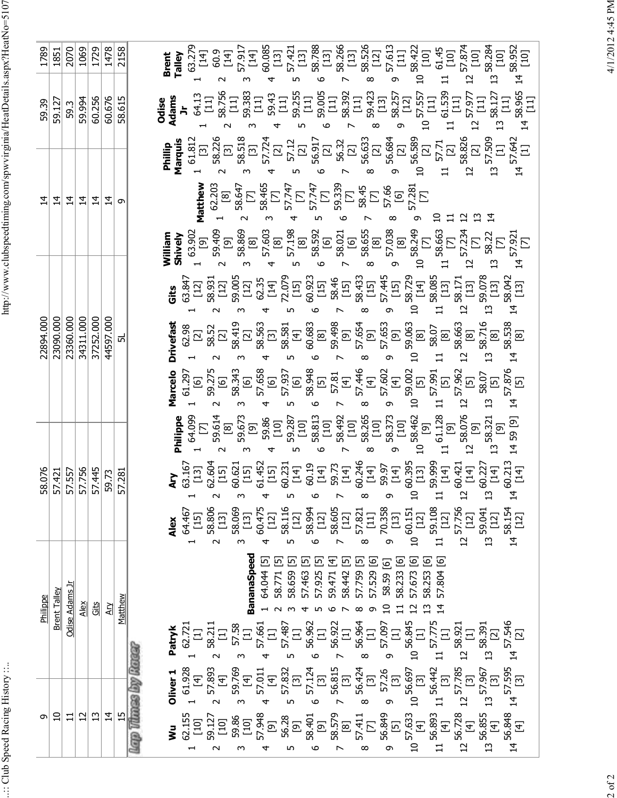.:: Club Speed Racing History ::..

http://www.clubspeedtiming.com/spwvirginia/HeatDetails.aspx?HeatNo=5107 ..:: Club Speed Racing History ::.. http://www.clubspeedtiming.com/spwvirginia/HeatDetails.aspx?HeatNo=5107

| 1789           | 1851           | 2070           | 1069           | 1729      | 1478           | 2158           | $\begin{array}{c} 58.266 \\ 113 \\ 58.526 \\ 121 \\ 57.613 \\ \end{array}$<br>$\begin{array}{l} 3.27\\ 3.37\\ 3.47\\ 3.59\\ 4.51\\ 4.52\\ 5.43\\ 5.44\\ 5.45\\ 5.47\\ 5.47\\ 5.47\\ 5.47\\ 5.47\\ 5.47\\ 5.47\\ 5.47\\ 5.47\\ 5.47\\ 5.47\\ 5.47\\ 5.47\\ 5.47\\ 5.47\\ 5.47\\ 5.47\\ 5.47\\ 5.47\\ 5.47\\ 5.47\\ 5.47\\ 5.47\\ 5.47\\ 5.47\\ 5.47\\ 5.$<br>58.422<br>[10]<br>61.45<br>[10]<br>$14\frac{58.952}{[10]}$<br>57.874<br>[10]<br>58.284<br>[10]<br><b>Brent</b><br>Talley<br>$\overline{c}$<br>$\Xi$<br>급<br>∞<br>ᡡ                                                                                                                                                                                                                                                                                                                                                                                                                                                                                                                                              |
|----------------|----------------|----------------|----------------|-----------|----------------|----------------|-----------------------------------------------------------------------------------------------------------------------------------------------------------------------------------------------------------------------------------------------------------------------------------------------------------------------------------------------------------------------------------------------------------------------------------------------------------------------------------------------------------------------------------------------------------------------------------------------------------------------------------------------------------------------------------------------------------------------------------------------------------------------------------------------------------------------------------------------------------------------------------------------------------------------------------------------------------------------------------------------------------------------------------------------------------------------------|
| 59.39          | 59.127         | 59.3           | 59.994         | 60.256    | 60.676         | 58.615         | <b>SAA</b><br><b>2008 -</b> 3000 - 3000 - 3000 - 3000 - 3000 - 3000 - 3000 - 3000 - 3000 - 3000 - 3000 - 3000 - 3000 - 3000<br>2008 - 3000 - 3000 - 3000 - 3000 - 3000 - 3000 - 3000 - 3000 - 3000 - 3000 - 3000 - 3000 - 3000 - 3000 - 3000<br>2                                                                                                                                                                                                                                                                                                                                                                                                                                                                                                                                                                                                                                                                                                                                                                                                                           |
|                |                |                |                |           |                |                | Marquis<br>Phillip                                                                                                                                                                                                                                                                                                                                                                                                                                                                                                                                                                                                                                                                                                                                                                                                                                                                                                                                                                                                                                                          |
| $\overline{4}$ | $\vec{4}$      | 4              | $\vec{a}$      | 4         | $\vec{4}$      | თ              | Matthew<br>$\vec{4}$                                                                                                                                                                                                                                                                                                                                                                                                                                                                                                                                                                                                                                                                                                                                                                                                                                                                                                                                                                                                                                                        |
|                |                |                |                |           |                |                | William                                                                                                                                                                                                                                                                                                                                                                                                                                                                                                                                                                                                                                                                                                                                                                                                                                                                                                                                                                                                                                                                     |
|                |                |                |                |           |                |                | $\begin{array}{l} \mathfrak{F}_{3}^{1}\simeq\mathfrak{F}_{3}^{1}\simeq\mathfrak{F}_{3}^{1}\simeq\mathfrak{F}_{3}^{1}\simeq\mathfrak{F}_{3}^{1}\simeq\mathfrak{F}_{3}^{1}\simeq\mathfrak{F}_{3}^{1}\simeq\mathfrak{F}_{3}^{1}\simeq\mathfrak{F}_{3}^{1}\simeq\mathfrak{F}_{3}^{1}\simeq\mathfrak{F}_{3}^{1}\simeq\mathfrak{F}_{3}^{1}\simeq\mathfrak{F}_{3}^{1}\simeq\mathfrak{F}_{3}^{1}\simeq\mathfr$<br>Gits<br>$\overline{a}$<br>4                                                                                                                                                                                                                                                                                                                                                                                                                                                                                                                                                                                                                                       |
| 22894.000      | 23090.000      | 23360.000      | 34311.000      | 37252.000 | 44597.000      | 5              | 58.538<br>[8]<br><b>Drivefast</b><br>$\Omega$<br>$\overline{c}$<br>$\mathfrak{D}$<br>4                                                                                                                                                                                                                                                                                                                                                                                                                                                                                                                                                                                                                                                                                                                                                                                                                                                                                                                                                                                      |
|                |                |                |                |           |                |                | Marcelo<br>$14\frac{57.876}{[5]}$                                                                                                                                                                                                                                                                                                                                                                                                                                                                                                                                                                                                                                                                                                                                                                                                                                                                                                                                                                                                                                           |
|                |                |                |                |           |                |                | Philippe<br>59 [9]<br>$\vec{4}$                                                                                                                                                                                                                                                                                                                                                                                                                                                                                                                                                                                                                                                                                                                                                                                                                                                                                                                                                                                                                                             |
| 58.076         | 57.421         | 57.557         | 57.756         | 57.445    | 59.73          | 57.281         | $\begin{array}{l} 621 \\ 631 \\ 641 \\ 652 \\ 661 \\ 672 \\ 681 \\ 692 \\ 613 \\ 621 \\ 632 \\ 643 \\ 654 \\ 661 \\ 672 \\ 681 \\ 693 \\ 694 \\ 695 \\ 614 \\ 621 \\ 632 \\ 643 \\ 654 \\ 674 \\ 681 \\ 693 \\ 614 \\ 622 \\ 633 \\ 643 \\ 654 \\ 674 \\ 683 \\ 693 \\ 694 \\ 694 \\ 695 \\ 696 \\ 696 \\ 697 \\ 698 \\ 69$<br>$60.421$<br>[14]<br>$60.227$<br>[14]<br>60.213<br>[14]<br><b>Ary</b><br>63.167<br>[13]<br>62.604<br>[15]<br>$\overline{4}$<br>$\mathfrak{u}$                                                                                                                                                                                                                                                                                                                                                                                                                                                                                                                                                                                                 |
|                |                |                |                |           |                |                | 59.108<br>57.756<br>58.154<br>[12]<br>58.806<br>58.116<br>58.069<br>60.475<br>58.605<br>[12]<br>57.821<br>[11]<br>70.358<br>58.994<br>59.041<br>[12]<br>$60.151$ [12]<br>64.467<br>[15]<br>$[13]$<br>$[12]$<br>$[13]$<br>$[12]$<br>$[13]$<br>$[12]$<br>$[12]$<br><b>Alex</b><br>$\overline{c}$<br>$\mathbf{u}$<br>$\vec{4}$<br>$\Omega$<br>$\sim$<br>븝<br>S<br>م<br>Б<br>4<br>↖<br>∞<br>ᡡ                                                                                                                                                                                                                                                                                                                                                                                                                                                                                                                                                                                                                                                                                   |
| Philippe       | Brent Talley   | Odise Adams Jr | Alex           | Gits      | Ary            | Matthew        | <b>BananaSpeed</b><br>57.804 [6]<br>ලු<br>6<br>64.044 [5]<br>叵<br>⊡<br>叵<br>ਦ<br>區<br>區<br>58.233 [6]<br>[6]<br>叵<br>5<br>57.529<br>58.771<br>58.659<br>57.463<br>57.925<br>59.471<br>57.673<br>58.442<br>57.759<br>.253<br>58.59<br>$\Omega$                                                                                                                                                                                                                                                                                                                                                                                                                                                                                                                                                                                                                                                                                                                                                                                                                               |
|                |                |                |                |           |                |                | $\begin{array}{cc} 56.922 \\ 7 & 11 \\ 8 & 56.964 \\ 8 & 57.097 \\ 9 & 57.097 \\ 10 & 11 \\ 11 & 57.775 \\ 11 & 57.775 \\ 12 & 11 \\ 13 & 14 \end{array}$<br>$\begin{array}{c} 57.487 \\ [1] \\ 56.962 \\ [1] \end{array}$<br>$4\frac{57.595}{[3]}$ $14\frac{57.546}{\ldots}$<br>57.661<br>[1]<br><b>Patryk</b><br>1 62.721<br>[1]<br>58.211<br>57.58<br>57.58<br>$12\,$ $^{58.921}_{[1]}$<br>$13\begin{array}{c} 58.391 \\[2pt] 12\end{array}$<br>م<br>ო                                                                                                                                                                                                                                                                                                                                                                                                                                                                                                                                                                                                                   |
|                |                |                |                |           |                |                | Lan Times by Racer<br>اب<br>, 57.967<br>[3]<br>$11\,$ $56.442$ $[3]$<br>$12\,\frac{57.785}{[3]}$<br>59.769<br>$\begin{bmatrix} 56.424 & 8 \\ 131 & 8 \\ 57.26 & 1 \\ 10 & 57.26 \\ 10 & 56.697 \\ 10 & 10 \\ 10 & 10 \end{bmatrix}$<br>$[$ 4]<br>$[$ 4]<br>57.124<br>[3]<br>56.815<br>[3]<br>57.893<br>[4]<br>$57.832$<br>[3]<br>$57.011$ $[4]$<br>Oliver <sub>1</sub><br>[4]<br>$\mathfrak{D}$<br>4<br>$\overline{4}$<br>m<br>G<br>S                                                                                                                                                                                                                                                                                                                                                                                                                                                                                                                                                                                                                                       |
| G              | $\overline{a}$ | $\Xi$          | $\overline{c}$ | 13        | $\overline{4}$ | $\overline{1}$ | 56.848<br>$13\frac{56.855}{[4]}$<br>$9$ 56.849<br>$10$ 57.633<br>$10$ 57.633<br>$11$ 56.893<br>$11$ $[4]$<br>$12\frac{56.728}{[4]}$<br>57.948<br>[9]<br>56.28<br>58.579<br>[8]<br>62.155<br>$[9] \atop [9,401]{}$<br>57.411<br>[7]<br>59.127<br>[10]<br>59.86<br>$[10] \centering% \includegraphics[width=1\textwidth]{images/TransY.pdf} \caption{The first two two different values of $y$ and $y$ and $z$ are the same as in Figure~\ref{fig:map}(a) and the second two different values of $y$ and $y$ are the same as in Figure~\ref{fig:map}(b) and the third two different values of $y$ and $y$ are the same as in Figure~\ref{fig:map}(c) and the third two different values of $y$ and $y$ are the same as in Figure~\ref{fig:map}(d) and the third two different values of $y$ are the same as in Figure~\ref{fig:map}(e) and the third two different values of $y$ are the same as in Figure~\ref{fig:map}(e) and the third two different values of $y$ are the same as inFigure$<br>$[10]$<br>Š<br>4<br>ڡ<br>$\sim$<br>ო<br>ഗ<br>$\overline{\phantom{0}}$<br>∞ |

 $2$  of  $2$ 

4/1/2012 4:45 PM 2 of 2 4:45 PM 2012 4:45 PM